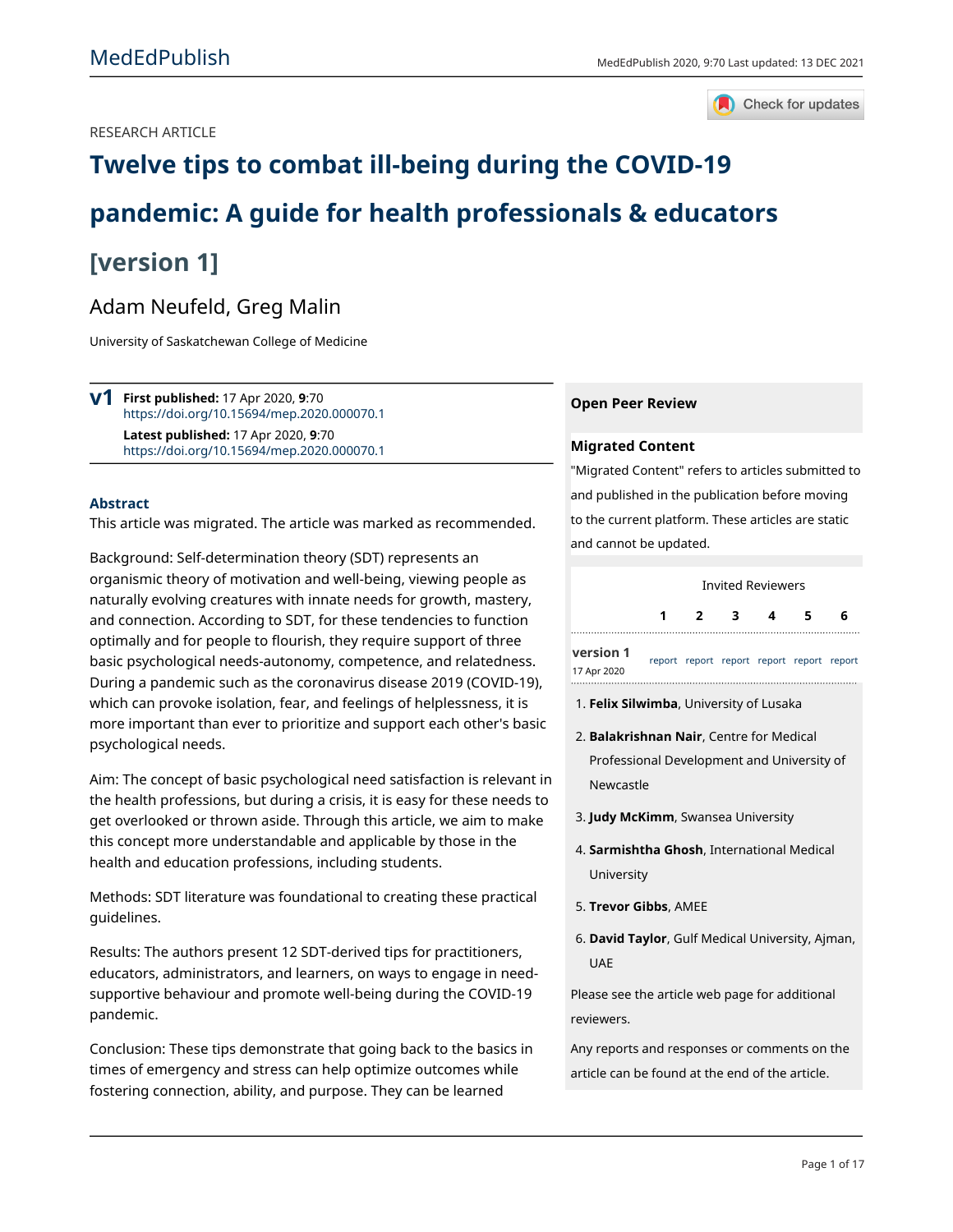RESEARCH ARTICLE



# Twelve tips to combat ill-being during the COVID-19

# pandemic: A quide for health professionals & educators

## [version 1]

## Adam Neufeld, Greg Malin

University of Saskatchewan College of Medicine

 $V<sup>1</sup>$  First published: 17 Apr 2020, 9:70 https://doi.org/10.15694/mep.2020.000070.1 Latest published: 17 Apr 2020, 9:70 https://doi.org/10.15694/mep.2020.000070.1

#### **Abstract**

This article was migrated. The article was marked as recommended.

Background: Self-determination theory (SDT) represents an organismic theory of motivation and well-being, viewing people as naturally evolving creatures with innate needs for growth, mastery, and connection. According to SDT, for these tendencies to function optimally and for people to flourish, they require support of three basic psychological needs-autonomy, competence, and relatedness. During a pandemic such as the coronavirus disease 2019 (COVID-19), which can provoke isolation, fear, and feelings of helplessness, it is more important than ever to prioritize and support each other's basic psychological needs.

Aim: The concept of basic psychological need satisfaction is relevant in the health professions, but during a crisis, it is easy for these needs to get overlooked or thrown aside. Through this article, we aim to make this concept more understandable and applicable by those in the health and education professions, including students.

Methods: SDT literature was foundational to creating these practical quidelines.

Results: The authors present 12 SDT-derived tips for practitioners, educators, administrators, and learners, on ways to engage in needsupportive behaviour and promote well-being during the COVID-19 pandemic.

Conclusion: These tips demonstrate that going back to the basics in times of emergency and stress can help optimize outcomes while fostering connection, ability, and purpose. They can be learned

#### **Open Peer Review**

#### **Migrated Content**

"Migrated Content" refers to articles submitted to and published in the publication before moving to the current platform. These articles are static and cannot be updated.

**Invited Reviewers** 3 1  $\overline{2}$  $\overline{\mathbf{4}}$ 5 6 version 1

report report report report report report 17 Apr 2020

- 1. Felix Silwimba, University of Lusaka
- 2. Balakrishnan Nair, Centre for Medical Professional Development and University of Newcastle
- 3. Judy McKimm, Swansea University
- 4. Sarmishtha Ghosh, International Medical University
- 5. Trevor Gibbs, AMEE
- 6. David Taylor, Gulf Medical University, Ajman, **UAE**

Please see the article web page for additional reviewers

Any reports and responses or comments on the article can be found at the end of the article.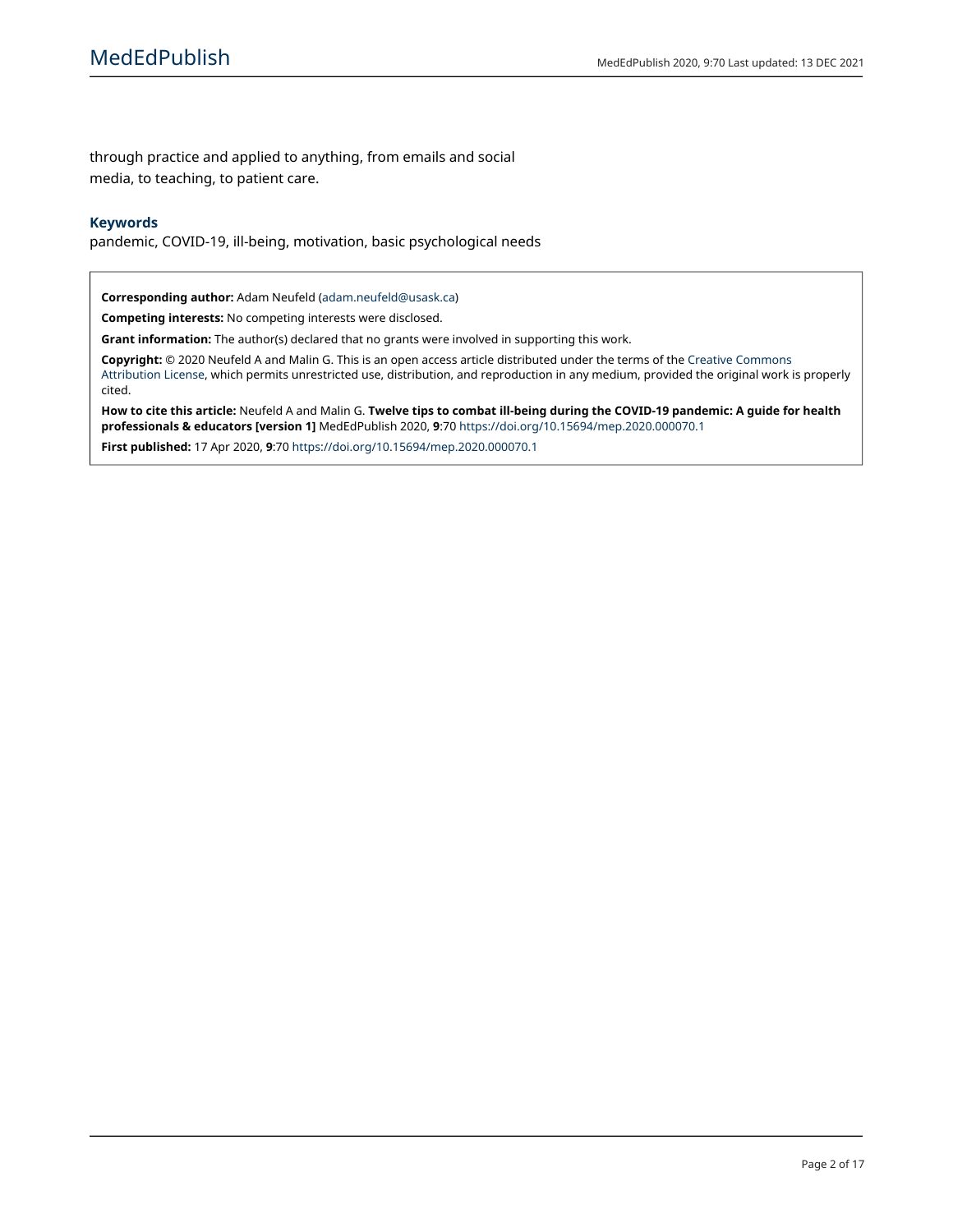through practice and applied to anything, from emails and social media, to teaching, to patient care.

#### **Keywords**

pandemic, COVID-19, ill-being, motivation, basic psychological needs

Corresponding author: Adam Neufeld (adam.neufeld@usask.ca)

Competing interests: No competing interests were disclosed.

Grant information: The author(s) declared that no grants were involved in supporting this work.

Copyright: © 2020 Neufeld A and Malin G. This is an open access article distributed under the terms of the Creative Commons Attribution License, which permits unrestricted use, distribution, and reproduction in any medium, provided the original work is properly cited.

How to cite this article: Neufeld A and Malin G. Twelve tips to combat ill-being during the COVID-19 pandemic: A guide for health professionals & educators [version 1] MedEdPublish 2020, 9:70 https://doi.org/10.15694/mep.2020.000070.1

First published: 17 Apr 2020, 9:70 https://doi.org/10.15694/mep.2020.000070.1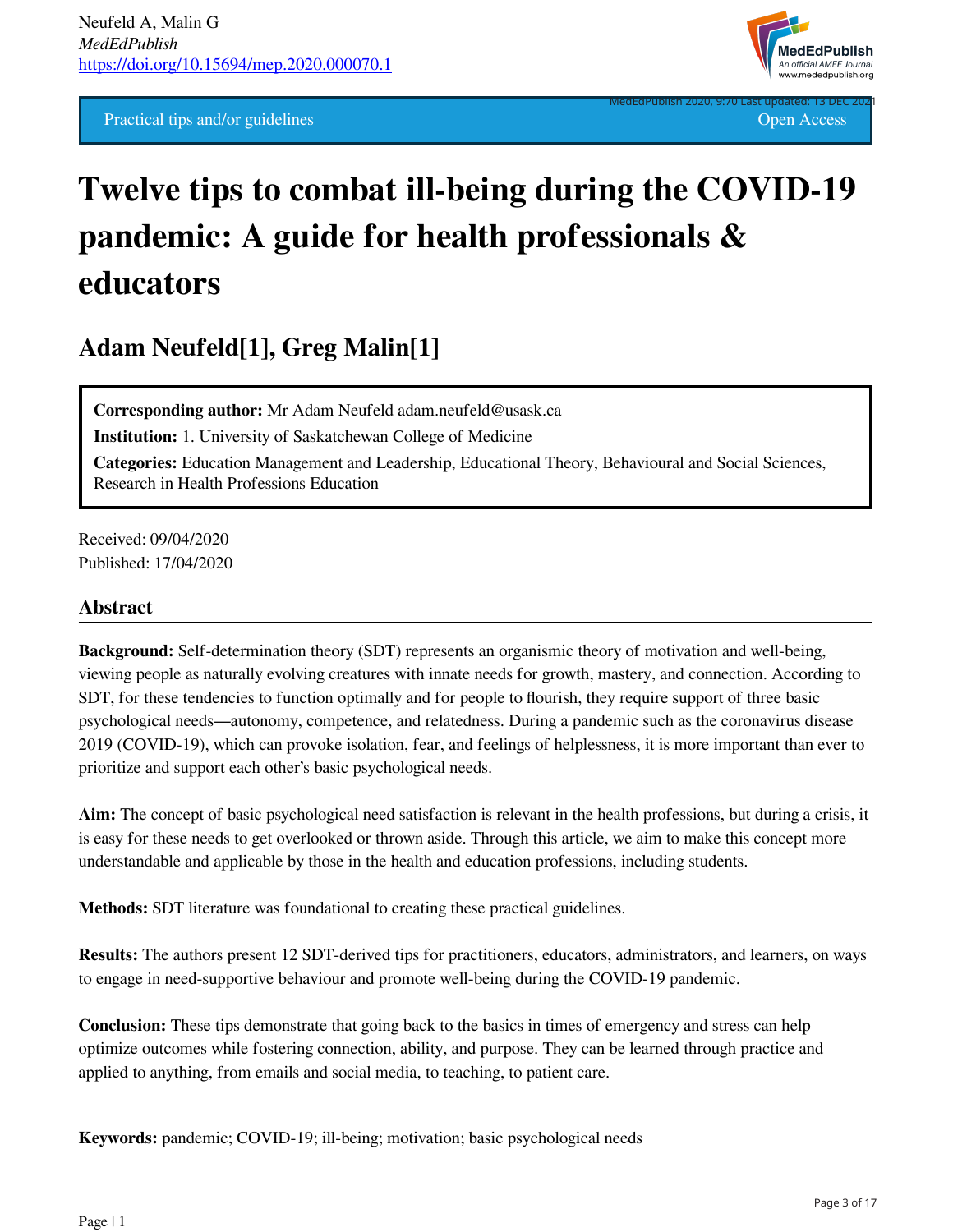**Practical tips and/or guidelines Open Access Open Access Open Access Open Access** 



# **Twelve tips to combat ill-being during the COVID-19 pandemic: A guide for health professionals & educators**

## **Adam Neufeld[1], Greg Malin[1]**

**Corresponding author:** Mr Adam Neufeld adam.neufeld@usask.ca

**Institution:** 1. University of Saskatchewan College of Medicine

**Categories:** Education Management and Leadership, Educational Theory, Behavioural and Social Sciences, Research in Health Professions Education

Received: 09/04/2020 Published: 17/04/2020

## **Abstract**

**Background:** Self-determination theory (SDT) represents an organismic theory of motivation and well-being, viewing people as naturally evolving creatures with innate needs for growth, mastery, and connection. According to SDT, for these tendencies to function optimally and for people to flourish, they require support of three basic psychological needs—autonomy, competence, and relatedness. During a pandemic such as the coronavirus disease 2019 (COVID-19), which can provoke isolation, fear, and feelings of helplessness, it is more important than ever to prioritize and support each other's basic psychological needs.

**Aim:** The concept of basic psychological need satisfaction is relevant in the health professions, but during a crisis, it is easy for these needs to get overlooked or thrown aside. Through this article, we aim to make this concept more understandable and applicable by those in the health and education professions, including students.

**Methods:** SDT literature was foundational to creating these practical guidelines.

**Results:** The authors present 12 SDT-derived tips for practitioners, educators, administrators, and learners, on ways to engage in need-supportive behaviour and promote well-being during the COVID-19 pandemic.

**Conclusion:** These tips demonstrate that going back to the basics in times of emergency and stress can help optimize outcomes while fostering connection, ability, and purpose. They can be learned through practice and applied to anything, from emails and social media, to teaching, to patient care.

**Keywords:** pandemic; COVID-19; ill-being; motivation; basic psychological needs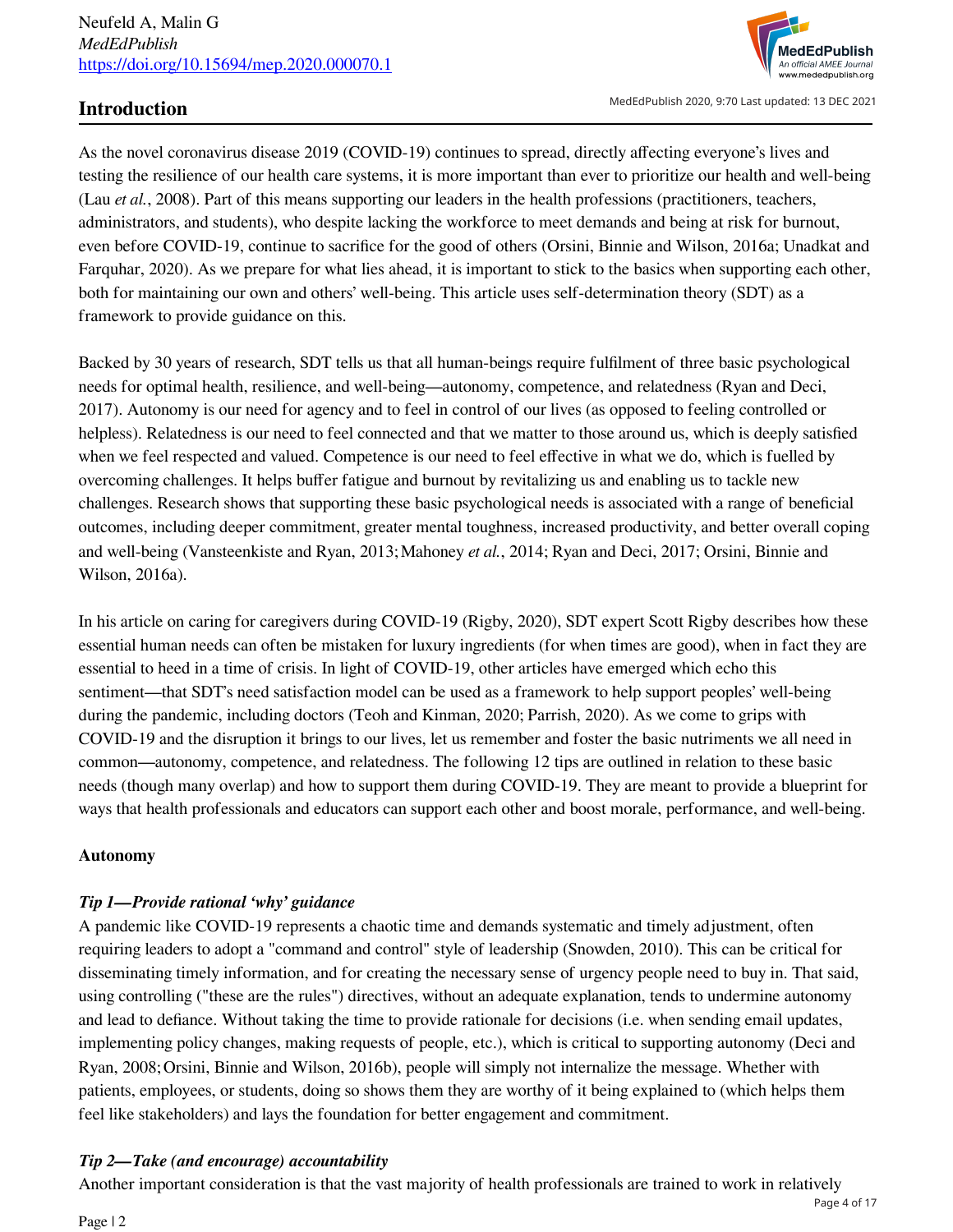

MedEdPublish 2020, 9:70 Last updated: 13 DEC 2021

## **Introduction**

As the novel coronavirus disease 2019 (COVID-19) continues to spread, directly affecting everyone's lives and testing the resilience of our health care systems, it is more important than ever to prioritize our health and well-being (Lau *et al.*, 2008). Part of this means supporting our leaders in the health professions (practitioners, teachers, administrators, and students), who despite lacking the workforce to meet demands and being at risk for burnout, even before COVID-19, continue to sacrifice for the good of others (Orsini, Binnie and Wilson, 2016a; Unadkat and Farquhar, 2020). As we prepare for what lies ahead, it is important to stick to the basics when supporting each other, both for maintaining our own and others' well-being. This article uses self-determination theory (SDT) as a framework to provide guidance on this.

Backed by 30 years of research, SDT tells us that all human-beings require fulfilment of three basic psychological needs for optimal health, resilience, and well-being—autonomy, competence, and relatedness (Ryan and Deci, 2017). Autonomy is our need for agency and to feel in control of our lives (as opposed to feeling controlled or helpless). Relatedness is our need to feel connected and that we matter to those around us, which is deeply satisfied when we feel respected and valued. Competence is our need to feel effective in what we do, which is fuelled by overcoming challenges. It helps buffer fatigue and burnout by revitalizing us and enabling us to tackle new challenges. Research shows that supporting these basic psychological needs is associated with a range of beneficial outcomes, including deeper commitment, greater mental toughness, increased productivity, and better overall coping and well-being (Vansteenkiste and Ryan, 2013;Mahoney *et al.*, 2014; Ryan and Deci, 2017; Orsini, Binnie and Wilson, 2016a).

In his article on caring for caregivers during COVID-19 (Rigby, 2020), SDT expert Scott Rigby describes how these essential human needs can often be mistaken for luxury ingredients (for when times are good), when in fact they are essential to heed in a time of crisis. In light of COVID-19, other articles have emerged which echo this sentiment—that SDT's need satisfaction model can be used as a framework to help support peoples' well-being during the pandemic, including doctors (Teoh and Kinman, 2020; Parrish, 2020). As we come to grips with COVID-19 and the disruption it brings to our lives, let us remember and foster the basic nutriments we all need in common—autonomy, competence, and relatedness. The following 12 tips are outlined in relation to these basic needs (though many overlap) and how to support them during COVID-19. They are meant to provide a blueprint for ways that health professionals and educators can support each other and boost morale, performance, and well-being.

## **Autonomy**

## *Tip 1—Provide rational 'why' guidance*

A pandemic like COVID-19 represents a chaotic time and demands systematic and timely adjustment, often requiring leaders to adopt a "command and control" style of leadership (Snowden, 2010). This can be critical for disseminating timely information, and for creating the necessary sense of urgency people need to buy in. That said, using controlling ("these are the rules") directives, without an adequate explanation, tends to undermine autonomy and lead to defiance. Without taking the time to provide rationale for decisions (i.e. when sending email updates, implementing policy changes, making requests of people, etc.), which is critical to supporting autonomy (Deci and Ryan, 2008;Orsini, Binnie and Wilson, 2016b), people will simply not internalize the message. Whether with patients, employees, or students, doing so shows them they are worthy of it being explained to (which helps them feel like stakeholders) and lays the foundation for better engagement and commitment.

## *Tip 2—Take (and encourage) accountability*

Another important consideration is that the vast majority of health professionals are trained to work in relatively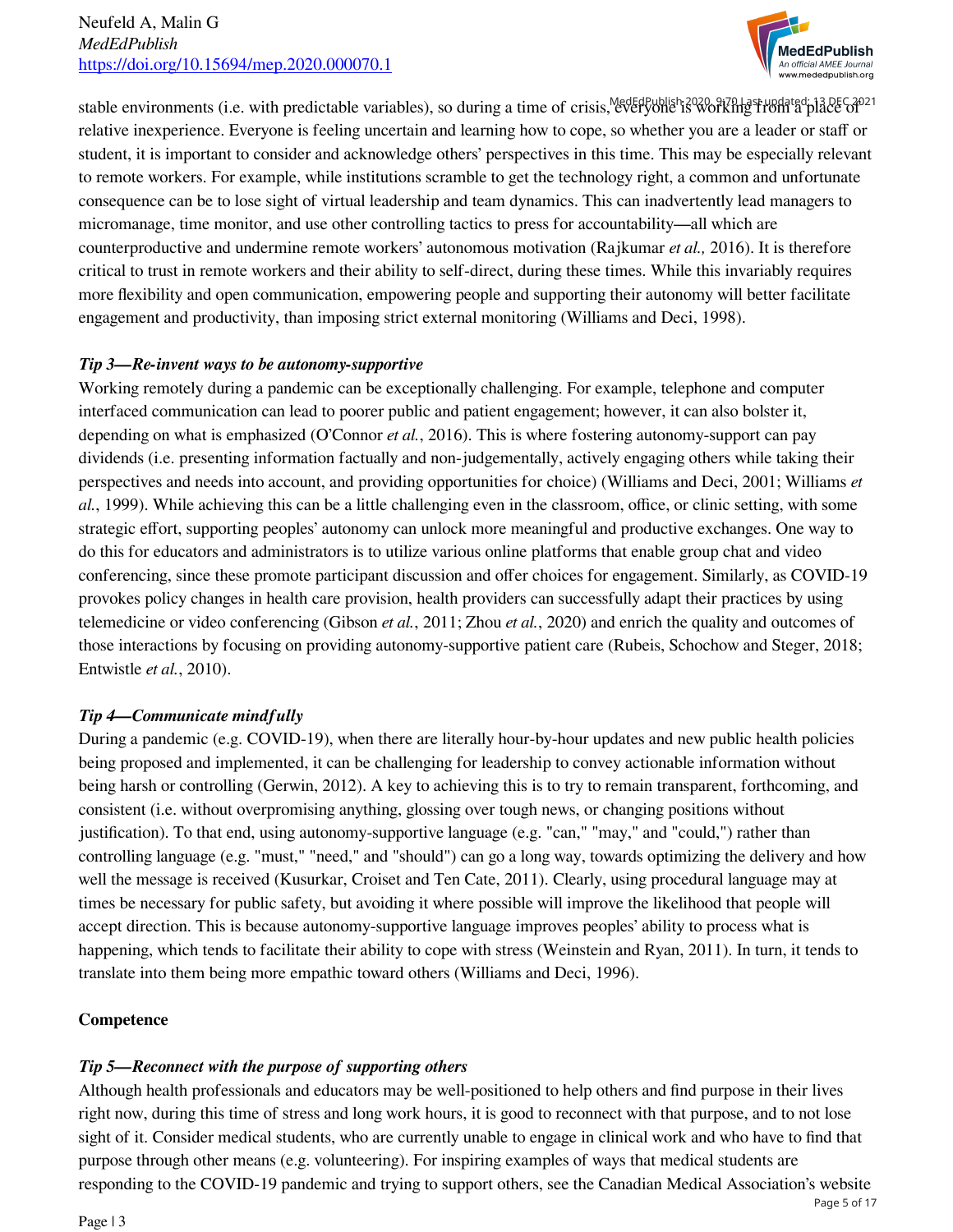

stable environments (i.e. with predictable variables), so during a time of crisis, redetabublish 2020 and the place of the C<sub>2021</sub> relative inexperience. Everyone is feeling uncertain and learning how to cope, so whether you are a leader or staff or student, it is important to consider and acknowledge others' perspectives in this time. This may be especially relevant to remote workers. For example, while institutions scramble to get the technology right, a common and unfortunate consequence can be to lose sight of virtual leadership and team dynamics. This can inadvertently lead managers to micromanage, time monitor, and use other controlling tactics to press for accountability—all which are counterproductive and undermine remote workers' autonomous motivation (Rajkumar *et al.,* 2016). It is therefore critical to trust in remote workers and their ability to self-direct, during these times. While this invariably requires more flexibility and open communication, empowering people and supporting their autonomy will better facilitate engagement and productivity, than imposing strict external monitoring (Williams and Deci, 1998).

## *Tip 3—Re-invent ways to be autonomy-supportive*

Working remotely during a pandemic can be exceptionally challenging. For example, telephone and computer interfaced communication can lead to poorer public and patient engagement; however, it can also bolster it, depending on what is emphasized (O'Connor *et al.*, 2016). This is where fostering autonomy-support can pay dividends (i.e. presenting information factually and non-judgementally, actively engaging others while taking their perspectives and needs into account, and providing opportunities for choice) (Williams and Deci, 2001; Williams *et al.*, 1999). While achieving this can be a little challenging even in the classroom, office, or clinic setting, with some strategic effort, supporting peoples' autonomy can unlock more meaningful and productive exchanges. One way to do this for educators and administrators is to utilize various online platforms that enable group chat and video conferencing, since these promote participant discussion and offer choices for engagement. Similarly, as COVID-19 provokes policy changes in health care provision, health providers can successfully adapt their practices by using telemedicine or video conferencing (Gibson *et al.*, 2011; Zhou *et al.*, 2020) and enrich the quality and outcomes of those interactions by focusing on providing autonomy-supportive patient care (Rubeis, Schochow and Steger, 2018; Entwistle *et al.*, 2010).

## *Tip 4—Communicate mindfully*

During a pandemic (e.g. COVID-19), when there are literally hour-by-hour updates and new public health policies being proposed and implemented, it can be challenging for leadership to convey actionable information without being harsh or controlling (Gerwin, 2012). A key to achieving this is to try to remain transparent, forthcoming, and consistent (i.e. without overpromising anything, glossing over tough news, or changing positions without justification). To that end, using autonomy-supportive language (e.g. "can," "may," and "could,") rather than controlling language (e.g. "must," "need," and "should") can go a long way, towards optimizing the delivery and how well the message is received (Kusurkar, Croiset and Ten Cate, 2011). Clearly, using procedural language may at times be necessary for public safety, but avoiding it where possible will improve the likelihood that people will accept direction. This is because autonomy-supportive language improves peoples' ability to process what is happening, which tends to facilitate their ability to cope with stress (Weinstein and Ryan, 2011). In turn, it tends to translate into them being more empathic toward others (Williams and Deci, 1996).

## **Competence**

## *Tip 5—Reconnect with the purpose of supporting others*

Although health professionals and educators may be well-positioned to help others and find purpose in their lives right now, during this time of stress and long work hours, it is good to reconnect with that purpose, and to not lose sight of it. Consider medical students, who are currently unable to engage in clinical work and who have to find that purpose through other means (e.g. volunteering). For inspiring examples of ways that medical students are responding to the COVID-19 pandemic and trying to support others, see the Canadian Medical Association's website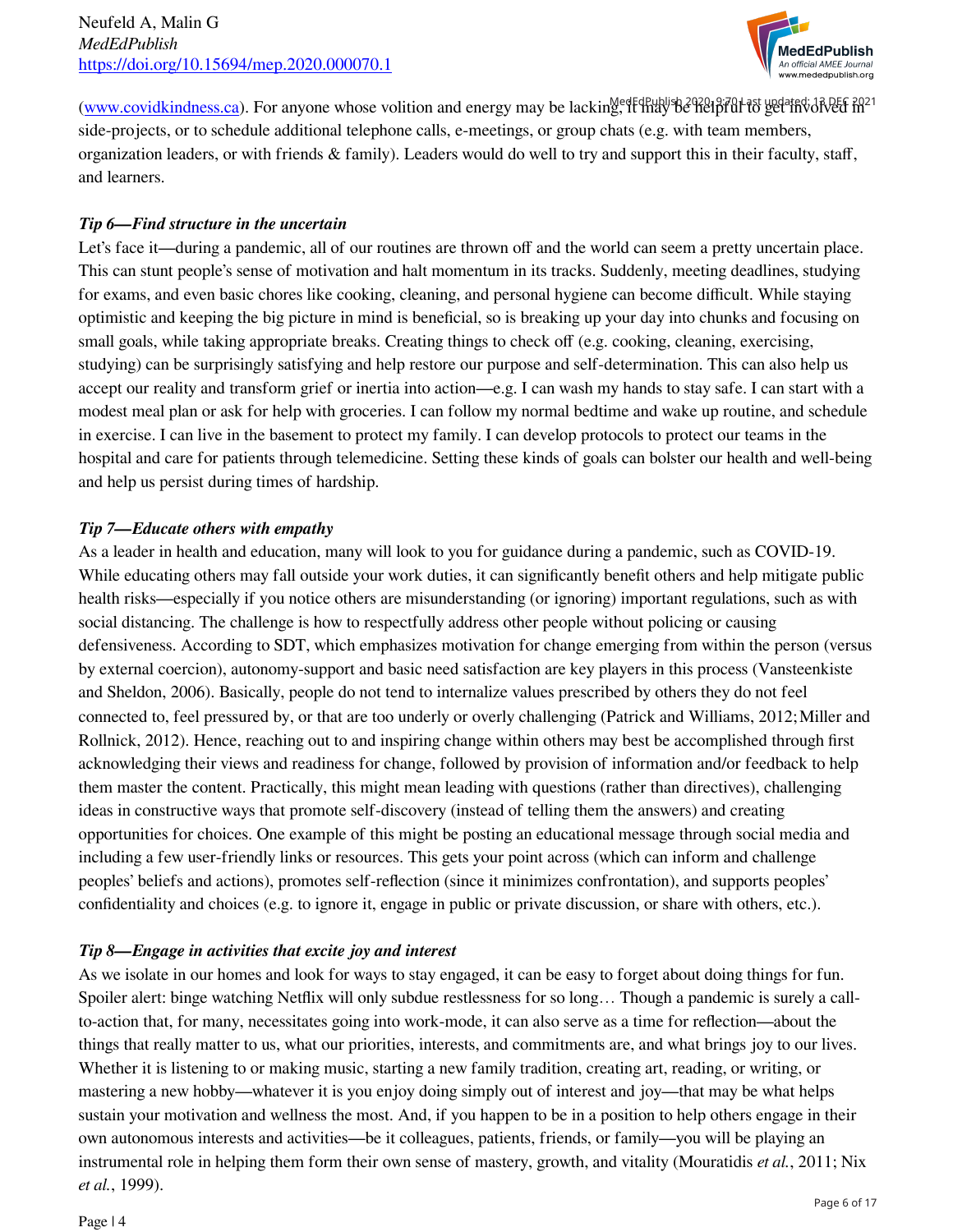

[\(www.covidkindness.ca\)](http://www.covidkindness.ca). For anyone whose volition and energy may be lacking, it may be helpful to get this dived side-projects, or to schedule additional telephone calls, e-meetings, or group chats (e.g. with team members, organization leaders, or with friends & family). Leaders would do well to try and support this in their faculty, staff, and learners.

## *Tip 6—Find structure in the uncertain*

Let's face it—during a pandemic, all of our routines are thrown off and the world can seem a pretty uncertain place. This can stunt people's sense of motivation and halt momentum in its tracks. Suddenly, meeting deadlines, studying for exams, and even basic chores like cooking, cleaning, and personal hygiene can become difficult. While staying optimistic and keeping the big picture in mind is beneficial, so is breaking up your day into chunks and focusing on small goals, while taking appropriate breaks. Creating things to check off (e.g. cooking, cleaning, exercising, studying) can be surprisingly satisfying and help restore our purpose and self-determination. This can also help us accept our reality and transform grief or inertia into action—e.g. I can wash my hands to stay safe. I can start with a modest meal plan or ask for help with groceries. I can follow my normal bedtime and wake up routine, and schedule in exercise. I can live in the basement to protect my family. I can develop protocols to protect our teams in the hospital and care for patients through telemedicine. Setting these kinds of goals can bolster our health and well-being and help us persist during times of hardship.

## *Tip 7—Educate others with empathy*

As a leader in health and education, many will look to you for guidance during a pandemic, such as COVID-19. While educating others may fall outside your work duties, it can significantly benefit others and help mitigate public health risks—especially if you notice others are misunderstanding (or ignoring) important regulations, such as with social distancing. The challenge is how to respectfully address other people without policing or causing defensiveness. According to SDT, which emphasizes motivation for change emerging from within the person (versus by external coercion), autonomy-support and basic need satisfaction are key players in this process (Vansteenkiste and Sheldon, 2006). Basically, people do not tend to internalize values prescribed by others they do not feel connected to, feel pressured by, or that are too underly or overly challenging (Patrick and Williams, 2012; Miller and Rollnick, 2012). Hence, reaching out to and inspiring change within others may best be accomplished through first acknowledging their views and readiness for change, followed by provision of information and/or feedback to help them master the content. Practically, this might mean leading with questions (rather than directives), challenging ideas in constructive ways that promote self-discovery (instead of telling them the answers) and creating opportunities for choices. One example of this might be posting an educational message through social media and including a few user-friendly links or resources. This gets your point across (which can inform and challenge peoples' beliefs and actions), promotes self-reflection (since it minimizes confrontation), and supports peoples' confidentiality and choices (e.g. to ignore it, engage in public or private discussion, or share with others, etc.).

## *Tip 8—Engage in activities that excite joy and interest*

As we isolate in our homes and look for ways to stay engaged, it can be easy to forget about doing things for fun. Spoiler alert: binge watching Netflix will only subdue restlessness for so long… Though a pandemic is surely a callto-action that, for many, necessitates going into work-mode, it can also serve as a time for reflection—about the things that really matter to us, what our priorities, interests, and commitments are, and what brings joy to our lives. Whether it is listening to or making music, starting a new family tradition, creating art, reading, or writing, or mastering a new hobby—whatever it is you enjoy doing simply out of interest and joy—that may be what helps sustain your motivation and wellness the most. And, if you happen to be in a position to help others engage in their own autonomous interests and activities—be it colleagues, patients, friends, or family—you will be playing an instrumental role in helping them form their own sense of mastery, growth, and vitality (Mouratidis *et al.*, 2011; Nix *et al.*, 1999).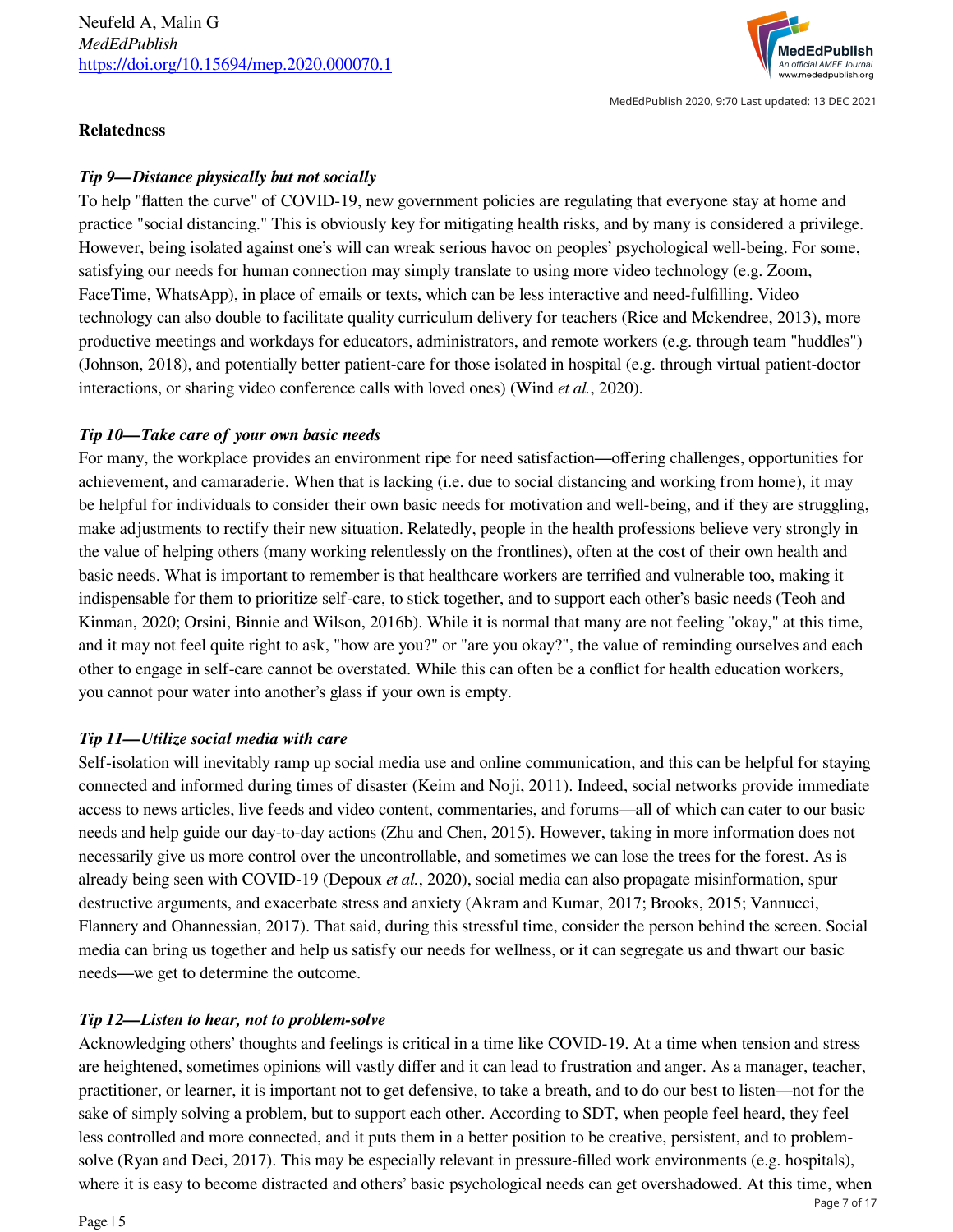

MedEdPublish 2020, 9:70 Last updated: 13 DEC 2021

#### **Relatedness**

## *Tip 9—Distance physically but not socially*

To help "flatten the curve" of COVID-19, new government policies are regulating that everyone stay at home and practice "social distancing." This is obviously key for mitigating health risks, and by many is considered a privilege. However, being isolated against one's will can wreak serious havoc on peoples' psychological well-being. For some, satisfying our needs for human connection may simply translate to using more video technology (e.g. Zoom, FaceTime, WhatsApp), in place of emails or texts, which can be less interactive and need-fulfilling. Video technology can also double to facilitate quality curriculum delivery for teachers (Rice and Mckendree, 2013), more productive meetings and workdays for educators, administrators, and remote workers (e.g. through team "huddles") (Johnson, 2018), and potentially better patient-care for those isolated in hospital (e.g. through virtual patient-doctor interactions, or sharing video conference calls with loved ones) (Wind *et al.*, 2020).

## *Tip 10—Take care of your own basic needs*

For many, the workplace provides an environment ripe for need satisfaction—offering challenges, opportunities for achievement, and camaraderie. When that is lacking (i.e. due to social distancing and working from home), it may be helpful for individuals to consider their own basic needs for motivation and well-being, and if they are struggling, make adjustments to rectify their new situation. Relatedly, people in the health professions believe very strongly in the value of helping others (many working relentlessly on the frontlines), often at the cost of their own health and basic needs. What is important to remember is that healthcare workers are terrified and vulnerable too, making it indispensable for them to prioritize self-care, to stick together, and to support each other's basic needs (Teoh and Kinman, 2020; Orsini, Binnie and Wilson, 2016b). While it is normal that many are not feeling "okay," at this time, and it may not feel quite right to ask, "how are you?" or "are you okay?", the value of reminding ourselves and each other to engage in self-care cannot be overstated. While this can often be a conflict for health education workers, you cannot pour water into another's glass if your own is empty.

## *Tip 11—Utilize social media with care*

Self-isolation will inevitably ramp up social media use and online communication, and this can be helpful for staying connected and informed during times of disaster (Keim and Noji, 2011). Indeed, social networks provide immediate access to news articles, live feeds and video content, commentaries, and forums—all of which can cater to our basic needs and help guide our day-to-day actions (Zhu and Chen, 2015). However, taking in more information does not necessarily give us more control over the uncontrollable, and sometimes we can lose the trees for the forest. As is already being seen with COVID-19 (Depoux *et al.*, 2020), social media can also propagate misinformation, spur destructive arguments, and exacerbate stress and anxiety (Akram and Kumar, 2017; Brooks, 2015; Vannucci, Flannery and Ohannessian, 2017). That said, during this stressful time, consider the person behind the screen. Social media can bring us together and help us satisfy our needs for wellness, or it can segregate us and thwart our basic needs—we get to determine the outcome.

## *Tip 12—Listen to hear, not to problem-solve*

Acknowledging others' thoughts and feelings is critical in a time like COVID-19. At a time when tension and stress are heightened, sometimes opinions will vastly differ and it can lead to frustration and anger. As a manager, teacher, practitioner, or learner, it is important not to get defensive, to take a breath, and to do our best to listen—not for the sake of simply solving a problem, but to support each other. According to SDT, when people feel heard, they feel less controlled and more connected, and it puts them in a better position to be creative, persistent, and to problemsolve (Ryan and Deci, 2017). This may be especially relevant in pressure-filled work environments (e.g. hospitals), where it is easy to become distracted and others' basic psychological needs can get overshadowed. At this time, when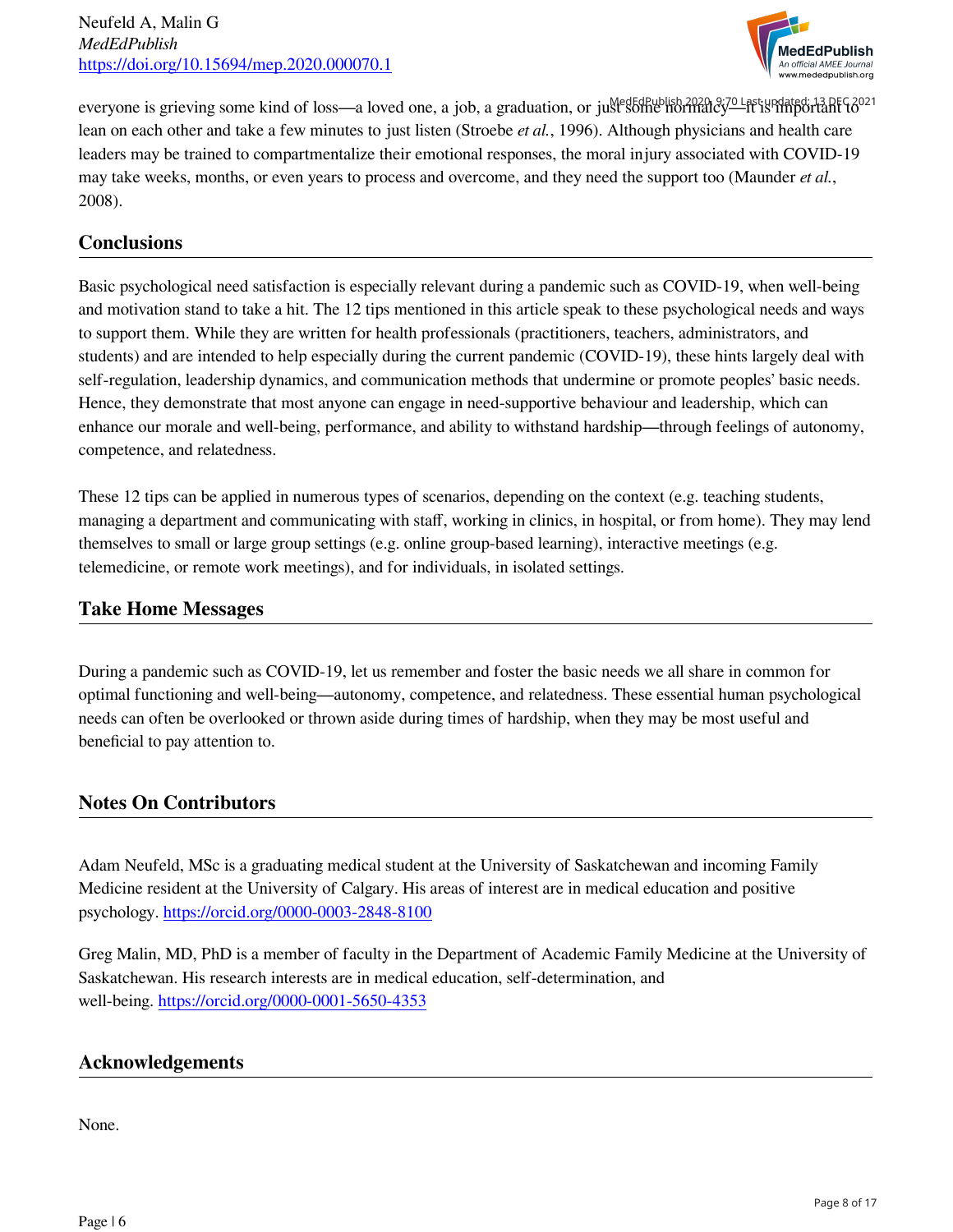

everyone is grieving some kind of loss—a loved one, a job, a graduation, or just some normalcy—it is important to<sup>021</sup> lean on each other and take a few minutes to just listen (Stroebe *et al.*, 1996). Although physicians and health care leaders may be trained to compartmentalize their emotional responses, the moral injury associated with COVID-19 may take weeks, months, or even years to process and overcome, and they need the support too (Maunder *et al.*, 2008).

## **Conclusions**

Basic psychological need satisfaction is especially relevant during a pandemic such as COVID-19, when well-being and motivation stand to take a hit. The 12 tips mentioned in this article speak to these psychological needs and ways to support them. While they are written for health professionals (practitioners, teachers, administrators, and students) and are intended to help especially during the current pandemic (COVID-19), these hints largely deal with self-regulation, leadership dynamics, and communication methods that undermine or promote peoples' basic needs. Hence, they demonstrate that most anyone can engage in need-supportive behaviour and leadership, which can enhance our morale and well-being, performance, and ability to withstand hardship—through feelings of autonomy, competence, and relatedness.

These 12 tips can be applied in numerous types of scenarios, depending on the context (e.g. teaching students, managing a department and communicating with staff, working in clinics, in hospital, or from home). They may lend themselves to small or large group settings (e.g. online group-based learning), interactive meetings (e.g. telemedicine, or remote work meetings), and for individuals, in isolated settings.

## **Take Home Messages**

During a pandemic such as COVID-19, let us remember and foster the basic needs we all share in common for optimal functioning and well-being—autonomy, competence, and relatedness. These essential human psychological needs can often be overlooked or thrown aside during times of hardship, when they may be most useful and beneficial to pay attention to.

## **Notes On Contributors**

Adam Neufeld, MSc is a graduating medical student at the University of Saskatchewan and incoming Family Medicine resident at the University of Calgary. His areas of interest are in medical education and positive psychology.<https://orcid.org/0000-0003-2848-8100>

Greg Malin, MD, PhD is a member of faculty in the Department of Academic Family Medicine at the University of Saskatchewan. His research interests are in medical education, self-determination, and well-being. <https://orcid.org/0000-0001-5650-4353>

## **Acknowledgements**

None.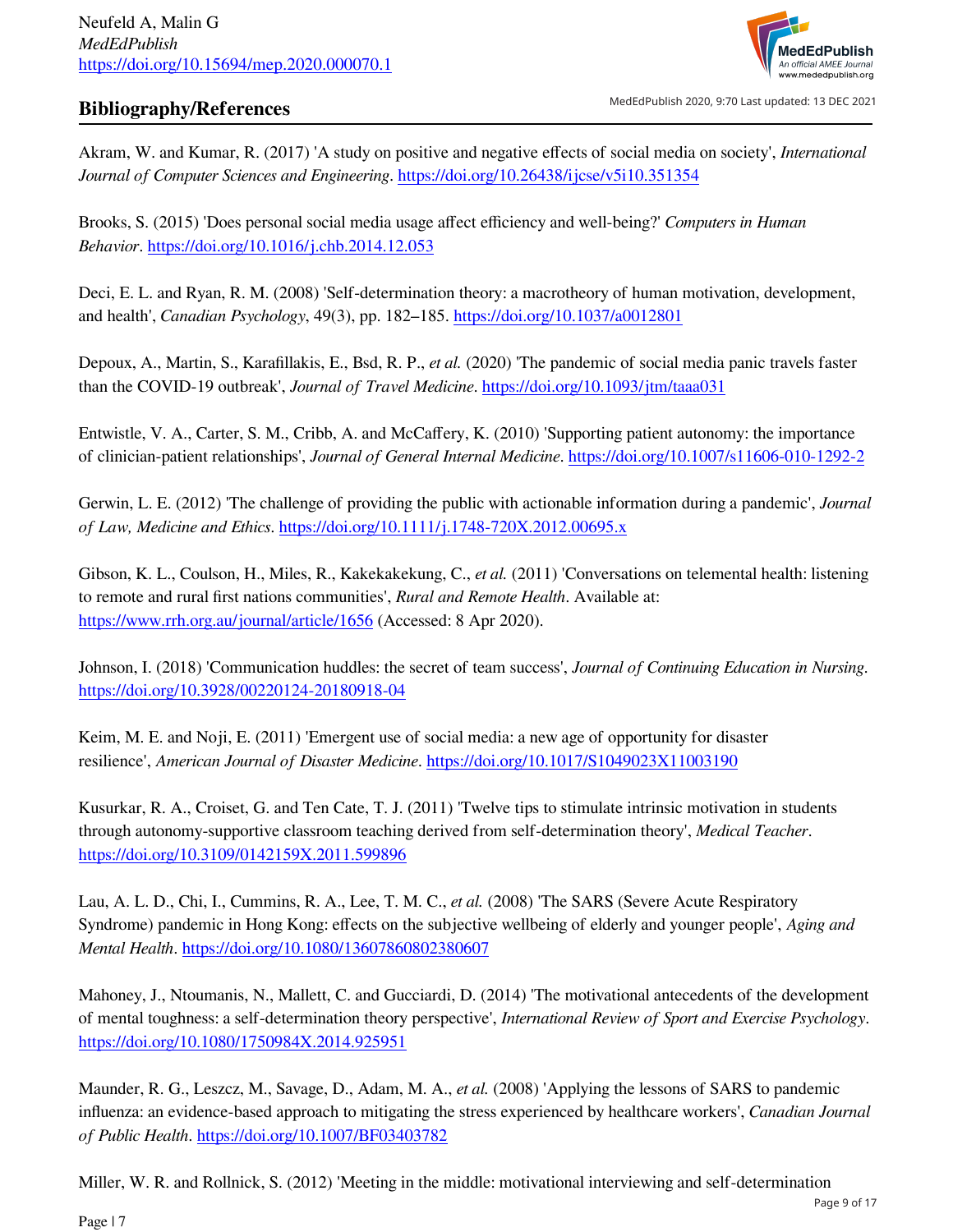

## **Bibliography/References**

MedEdPublish 2020, 9:70 Last updated: 13 DEC 2021

Akram, W. and Kumar, R. (2017) 'A study on positive and negative effects of social media on society', *International Journal of Computer Sciences and Engineering*. <https://doi.org/10.26438/ijcse/v5i10.351354>

Brooks, S. (2015) 'Does personal social media usage affect efficiency and well-being' *Computers in Human Behavior*. <https://doi.org/10.1016/j.chb.2014.12.053>

Deci, E. L. and Ryan, R. M. (2008) 'Self-determination theory: a macrotheory of human motivation, development, and health', *Canadian Psychology*, 49(3), pp. 182–185. <https://doi.org/10.1037/a0012801>

Depoux, A., Martin, S., Karafillakis, E., Bsd, R. P., *et al.* (2020) 'The pandemic of social media panic travels faster than the COVID-19 outbreak', *Journal of Travel Medicine*. <https://doi.org/10.1093/jtm/taaa031>

Entwistle, V. A., Carter, S. M., Cribb, A. and McCaffery, K. (2010) 'Supporting patient autonomy: the importance of clinician-patient relationships', *Journal of General Internal Medicine*.<https://doi.org/10.1007/s11606-010-1292-2>

Gerwin, L. E. (2012) 'The challenge of providing the public with actionable information during a pandemic', *Journal of Law, Medicine and Ethics*.<https://doi.org/10.1111/j.1748-720X.2012.00695.x>

Gibson, K. L., Coulson, H., Miles, R., Kakekakekung, C., *et al.* (2011) 'Conversations on telemental health: listening to remote and rural first nations communities', *Rural and Remote Health*. Available at: <https://www.rrh.org.au/journal/article/1656>(Accessed: 8 Apr 2020).

Johnson, I. (2018) 'Communication huddles: the secret of team success', *Journal of Continuing Education in Nursing*. <https://doi.org/10.3928/00220124-20180918-04>

Keim, M. E. and Noji, E. (2011) 'Emergent use of social media: a new age of opportunity for disaster resilience', *American Journal of Disaster Medicine*.<https://doi.org/10.1017/S1049023X11003190>

Kusurkar, R. A., Croiset, G. and Ten Cate, T. J. (2011) 'Twelve tips to stimulate intrinsic motivation in students through autonomy-supportive classroom teaching derived from self-determination theory', *Medical Teacher*. <https://doi.org/10.3109/0142159X.2011.599896>

Lau, A. L. D., Chi, I., Cummins, R. A., Lee, T. M. C., *et al.* (2008) 'The SARS (Severe Acute Respiratory Syndrome) pandemic in Hong Kong: effects on the subjective wellbeing of elderly and younger people', *Aging and Mental Health*.<https://doi.org/10.1080/13607860802380607>

Mahoney, J., Ntoumanis, N., Mallett, C. and Gucciardi, D. (2014) 'The motivational antecedents of the development of mental toughness: a self-determination theory perspective', *International Review of Sport and Exercise Psychology*. <https://doi.org/10.1080/1750984X.2014.925951>

Maunder, R. G., Leszcz, M., Savage, D., Adam, M. A., *et al.* (2008) 'Applying the lessons of SARS to pandemic influenza: an evidence-based approach to mitigating the stress experienced by healthcare workers', *Canadian Journal of Public Health*. <https://doi.org/10.1007/BF03403782>

Miller, W. R. and Rollnick, S. (2012) 'Meeting in the middle: motivational interviewing and self-determination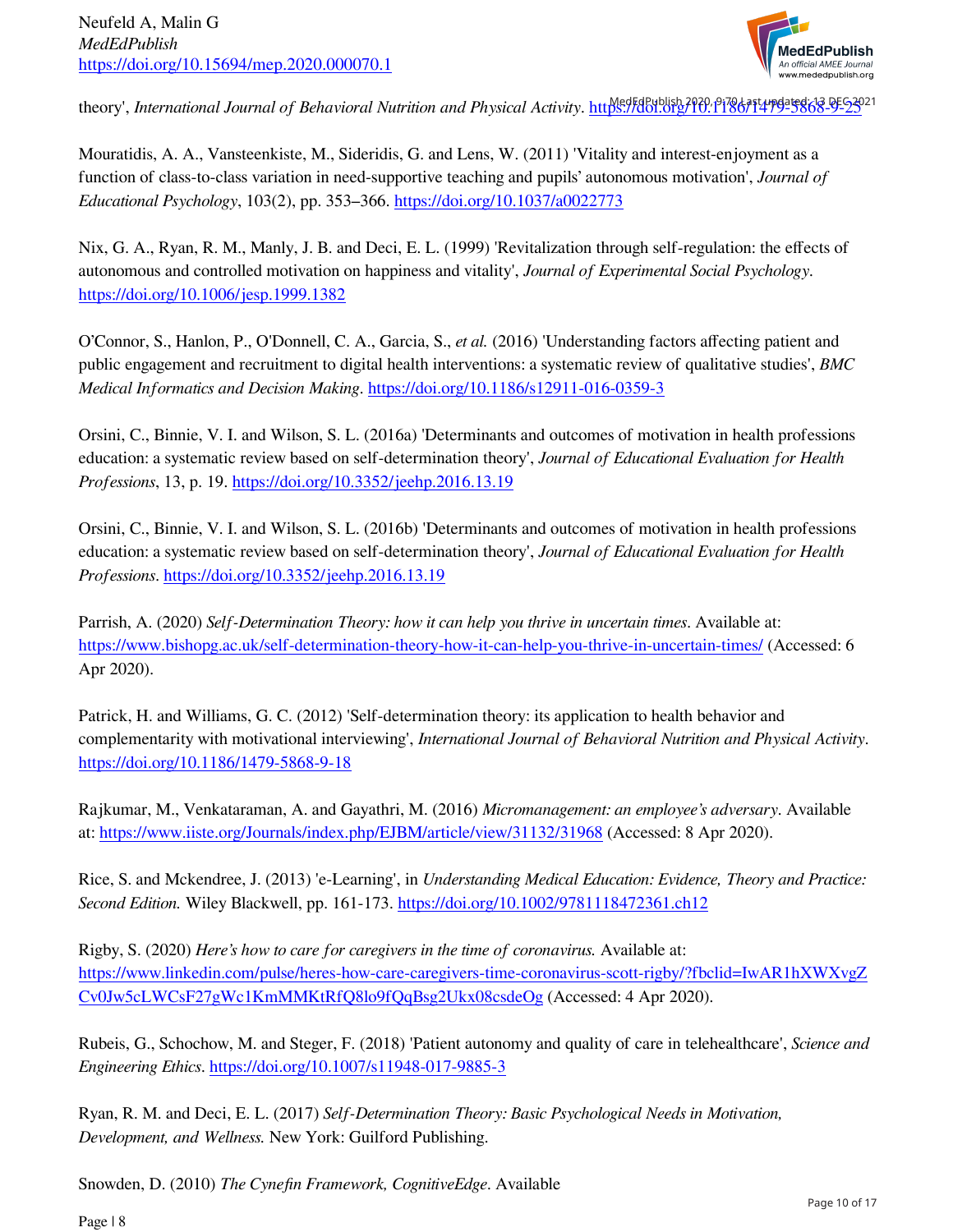

theory', *International Journal of Behavioral Nutrition and Physical Activity*. https://doi.org/10.11786/1479-5868-9-25021

Mouratidis, A. A., Vansteenkiste, M., Sideridis, G. and Lens, W. (2011) 'Vitality and interest-enjoyment as a function of class-to-class variation in need-supportive teaching and pupils' autonomous motivation', *Journal of Educational Psychology*, 103(2), pp. 353–366.<https://doi.org/10.1037/a0022773>

Nix, G. A., Ryan, R. M., Manly, J. B. and Deci, E. L. (1999) 'Revitalization through self-regulation: the effects of autonomous and controlled motivation on happiness and vitality', *Journal of Experimental Social Psychology*. <https://doi.org/10.1006/jesp.1999.1382>

O'Connor, S., Hanlon, P., O'Donnell, C. A., Garcia, S., *et al.* (2016) 'Understanding factors affecting patient and public engagement and recruitment to digital health interventions: a systematic review of qualitative studies', *BMC Medical Informatics and Decision Making*. <https://doi.org/10.1186/s12911-016-0359-3>

Orsini, C., Binnie, V. I. and Wilson, S. L. (2016a) 'Determinants and outcomes of motivation in health professions education: a systematic review based on self-determination theory', *Journal of Educational Evaluation for Health Professions*, 13, p. 19.<https://doi.org/10.3352/jeehp.2016.13.19>

Orsini, C., Binnie, V. I. and Wilson, S. L. (2016b) 'Determinants and outcomes of motivation in health professions education: a systematic review based on self-determination theory', *Journal of Educational Evaluation for Health Professions*.<https://doi.org/10.3352/jeehp.2016.13.19>

Parrish, A. (2020) *Self-Determination Theory: how it can help you thrive in uncertain times*. Available at: <https://www.bishopg.ac.uk/self-determination-theory-how-it-can-help-you-thrive-in-uncertain-times/>(Accessed: 6 Apr 2020).

Patrick, H. and Williams, G. C. (2012) 'Self-determination theory: its application to health behavior and complementarity with motivational interviewing', *International Journal of Behavioral Nutrition and Physical Activity*. <https://doi.org/10.1186/1479-5868-9-18>

Rajkumar, M., Venkataraman, A. and Gayathri, M. (2016) *Micromanagement: an employee's adversary*. Available at: <https://www.iiste.org/Journals/index.php/EJBM/article/view/31132/31968> (Accessed: 8 Apr 2020).

Rice, S. and Mckendree, J. (2013) 'e-Learning', in *Understanding Medical Education: Evidence, Theory and Practice: Second Edition.* Wiley Blackwell, pp. 161-173. <https://doi.org/10.1002/9781118472361.ch12>

Rigby, S. (2020) *Here's how to care for caregivers in the time of coronavirus.* Available at: [https://www.linkedin.com/pulse/heres-how-care-caregivers-time-coronavirus-scott-rigby/fbclid=IwAR1hXWXvgZ](https://www.linkedin.com/pulse/heres-how-care-caregivers-time-coronavirus-scott-rigby/?fbclid=IwAR1hXWXvgZCv0Jw5cLWCsF27gWc1KmMMKtRfQ8lo9fQqBsg2Ukx08csdeOg) [Cv0Jw5cLWCsF27gWc1KmMMKtRfQ8lo9fQqBsg2Ukx08csdeOg](https://www.linkedin.com/pulse/heres-how-care-caregivers-time-coronavirus-scott-rigby/?fbclid=IwAR1hXWXvgZCv0Jw5cLWCsF27gWc1KmMMKtRfQ8lo9fQqBsg2Ukx08csdeOg) (Accessed: 4 Apr 2020).

Rubeis, G., Schochow, M. and Steger, F. (2018) 'Patient autonomy and quality of care in telehealthcare', *Science and Engineering Ethics*. <https://doi.org/10.1007/s11948-017-9885-3>

Ryan, R. M. and Deci, E. L. (2017) *Self-Determination Theory: Basic Psychological Needs in Motivation, Development, and Wellness.* New York: Guilford Publishing.

Snowden, D. (2010) *The Cynefin Framework, CognitiveEdge*. Available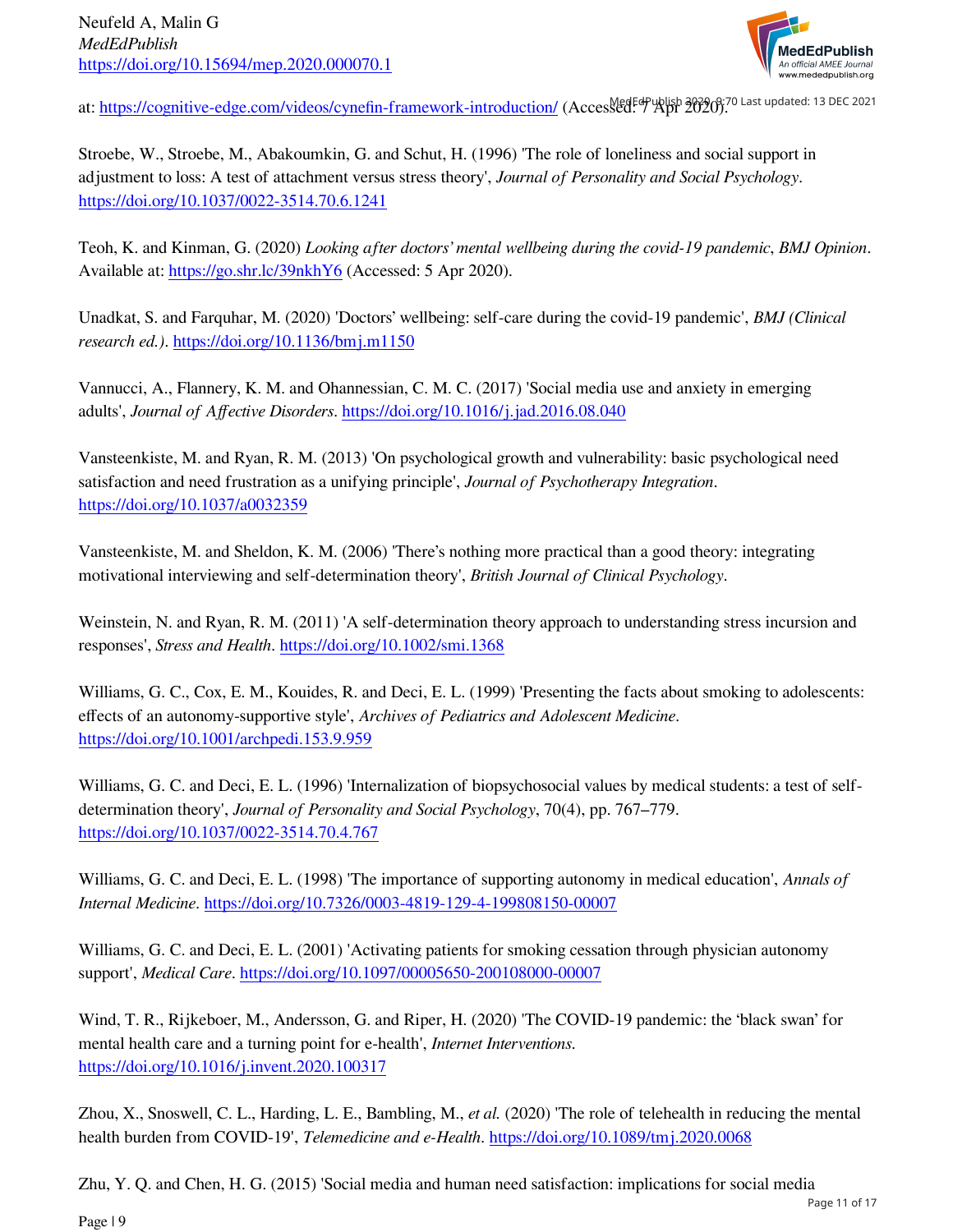

at: <https://cognitive-edge.com/videos/cynefin-framework-introduction/>(Accessed: 7 Apr 2020).<sup>70</sup> Last updated: 13 DEC 2021

Stroebe, W., Stroebe, M., Abakoumkin, G. and Schut, H. (1996) 'The role of loneliness and social support in adjustment to loss: A test of attachment versus stress theory', *Journal of Personality and Social Psychology*. <https://doi.org/10.1037/0022-3514.70.6.1241>

Teoh, K. and Kinman, G. (2020) *Looking after doctors' mental wellbeing during the covid-19 pandemic*, *BMJ Opinion*. Available at:<https://go.shr.lc/39nkhY6>(Accessed: 5 Apr 2020).

Unadkat, S. and Farquhar, M. (2020) 'Doctors' wellbeing: self-care during the covid-19 pandemic', *BMJ (Clinical research ed.)*.<https://doi.org/10.1136/bmj.m1150>

Vannucci, A., Flannery, K. M. and Ohannessian, C. M. C. (2017) 'Social media use and anxiety in emerging adults', *Journal of Affective Disorders*. <https://doi.org/10.1016/j.jad.2016.08.040>

Vansteenkiste, M. and Ryan, R. M. (2013) 'On psychological growth and vulnerability: basic psychological need satisfaction and need frustration as a unifying principle', *Journal of Psychotherapy Integration*. <https://doi.org/10.1037/a0032359>

Vansteenkiste, M. and Sheldon, K. M. (2006) 'There's nothing more practical than a good theory: integrating motivational interviewing and self-determination theory', *British Journal of Clinical Psychology*.

Weinstein, N. and Ryan, R. M. (2011) 'A self-determination theory approach to understanding stress incursion and responses', *Stress and Health*. <https://doi.org/10.1002/smi.1368>

Williams, G. C., Cox, E. M., Kouides, R. and Deci, E. L. (1999) 'Presenting the facts about smoking to adolescents: effects of an autonomy-supportive style', *Archives of Pediatrics and Adolescent Medicine*. <https://doi.org/10.1001/archpedi.153.9.959>

Williams, G. C. and Deci, E. L. (1996) 'Internalization of biopsychosocial values by medical students: a test of selfdetermination theory', *Journal of Personality and Social Psychology*, 70(4), pp. 767–779. <https://doi.org/10.1037/0022-3514.70.4.767>

Williams, G. C. and Deci, E. L. (1998) 'The importance of supporting autonomy in medical education', *Annals of Internal Medicine*.<https://doi.org/10.7326/0003-4819-129-4-199808150-00007>

Williams, G. C. and Deci, E. L. (2001) 'Activating patients for smoking cessation through physician autonomy support', *Medical Care*.<https://doi.org/10.1097/00005650-200108000-00007>

Wind, T. R., Rijkeboer, M., Andersson, G. and Riper, H. (2020) 'The COVID-19 pandemic: the 'black swan' for mental health care and a turning point for e-health', *Internet Interventions*. <https://doi.org/10.1016/j.invent.2020.100317>

Zhou, X., Snoswell, C. L., Harding, L. E., Bambling, M., *et al.* (2020) 'The role of telehealth in reducing the mental health burden from COVID-19', *Telemedicine and e-Health*. <https://doi.org/10.1089/tmj.2020.0068>

Zhu, Y. Q. and Chen, H. G. (2015) 'Social media and human need satisfaction: implications for social media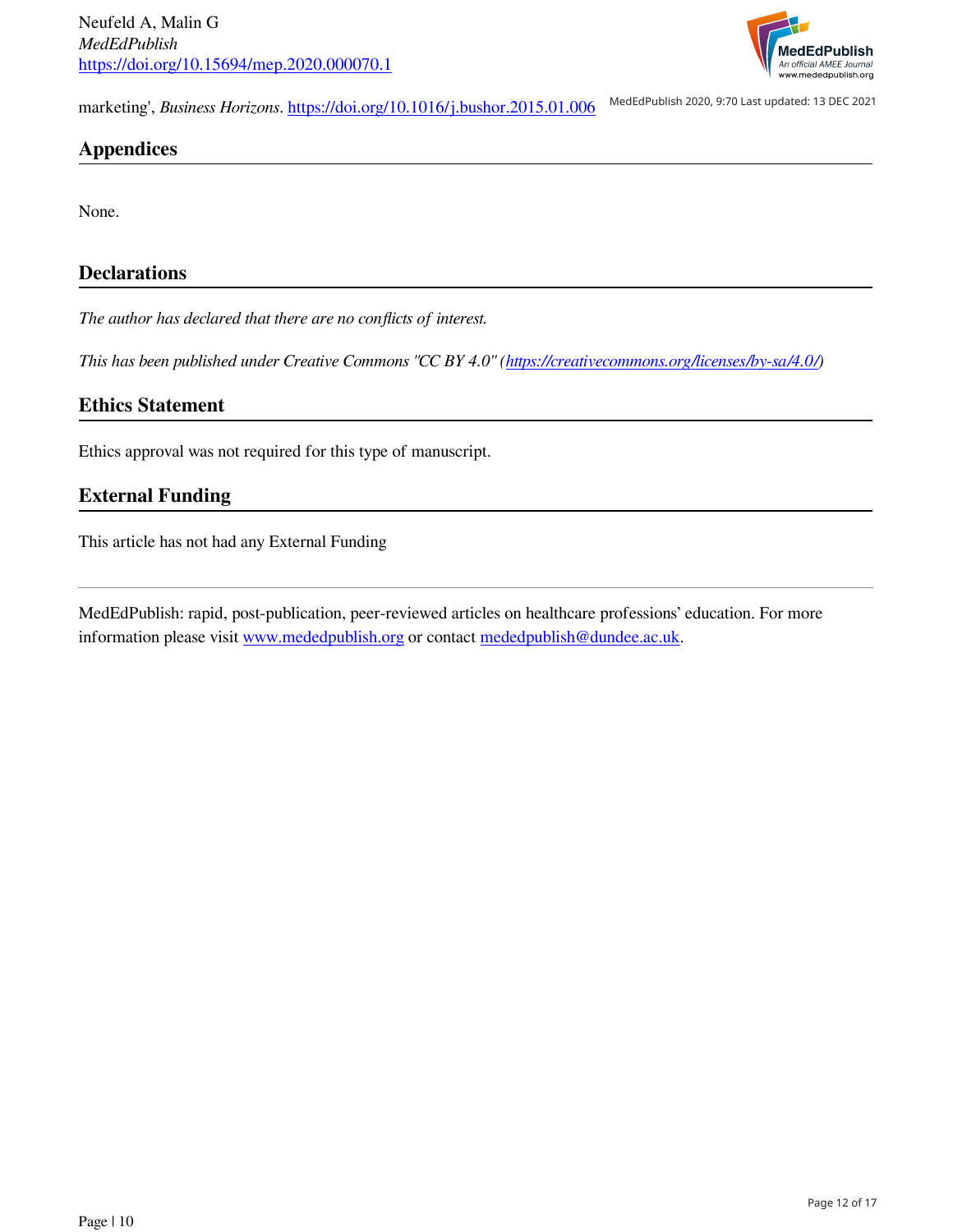

marketing', *Business Horizons*.<https://doi.org/10.1016/j.bushor.2015.01.006> MedEdPublish 2020, 9:70 Last updated: 13 DEC 2021

## **Appendices**

None.

## **Declarations**

*The author has declared that there are no conflicts of interest.*

*This has been published under Creative Commons "CC BY 4.0" [\(https://creativecommons.org/licenses/by-sa/4.0/\)](https://creativecommons.org/licenses/by-sa/4.0/)* 

## **Ethics Statement**

Ethics approval was not required for this type of manuscript.

## **External Funding**

This article has not had any External Funding

MedEdPublish: rapid, post-publication, peer-reviewed articles on healthcare professions' education. For more information please visit [www.mededpublish.org](https://www.mededpublish.org) or contact [mededpublish@dundee.ac.uk.](mailto:mededpublish@dundee.ac.uk)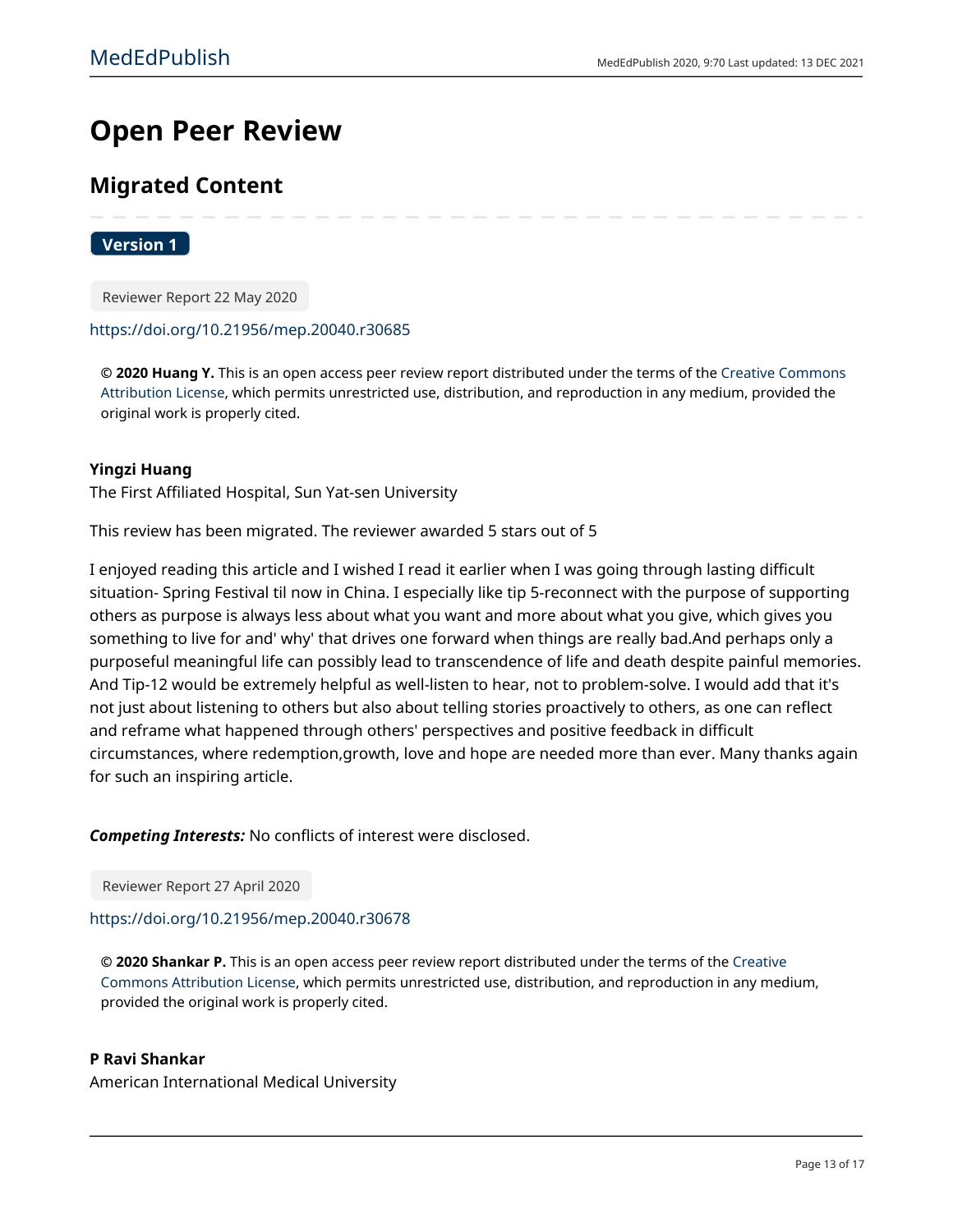# **Open Peer Review**

## **Migrated Content**

## **Version 1**

Reviewer Report 22 May 2020

#### https://doi.org/10.21956/mep.20040.r30685

© 2020 Huang Y. This is an open access peer review report distributed under the terms of the Creative Commons Attribution License, which permits unrestricted use, distribution, and reproduction in any medium, provided the original work is properly cited.

## **Yingzi Huang**

The First Affiliated Hospital, Sun Yat-sen University

This review has been migrated. The reviewer awarded 5 stars out of 5

I enjoyed reading this article and I wished I read it earlier when I was going through lasting difficult situation- Spring Festival til now in China. I especially like tip 5-reconnect with the purpose of supporting others as purpose is always less about what you want and more about what you give, which gives you something to live for and' why' that drives one forward when things are really bad.And perhaps only a purposeful meaningful life can possibly lead to transcendence of life and death despite painful memories. And Tip-12 would be extremely helpful as well-listen to hear, not to problem-solve. I would add that it's not just about listening to others but also about telling stories proactively to others, as one can reflect and reframe what happened through others' perspectives and positive feedback in difficult circumstances, where redemption, growth, love and hope are needed more than ever. Many thanks again for such an inspiring article.

**Competing Interests:** No conflicts of interest were disclosed.

Reviewer Report 27 April 2020

## https://doi.org/10.21956/mep.20040.r30678

© 2020 Shankar P. This is an open access peer review report distributed under the terms of the Creative Commons Attribution License, which permits unrestricted use, distribution, and reproduction in any medium, provided the original work is properly cited.

#### **P Ravi Shankar**

American International Medical University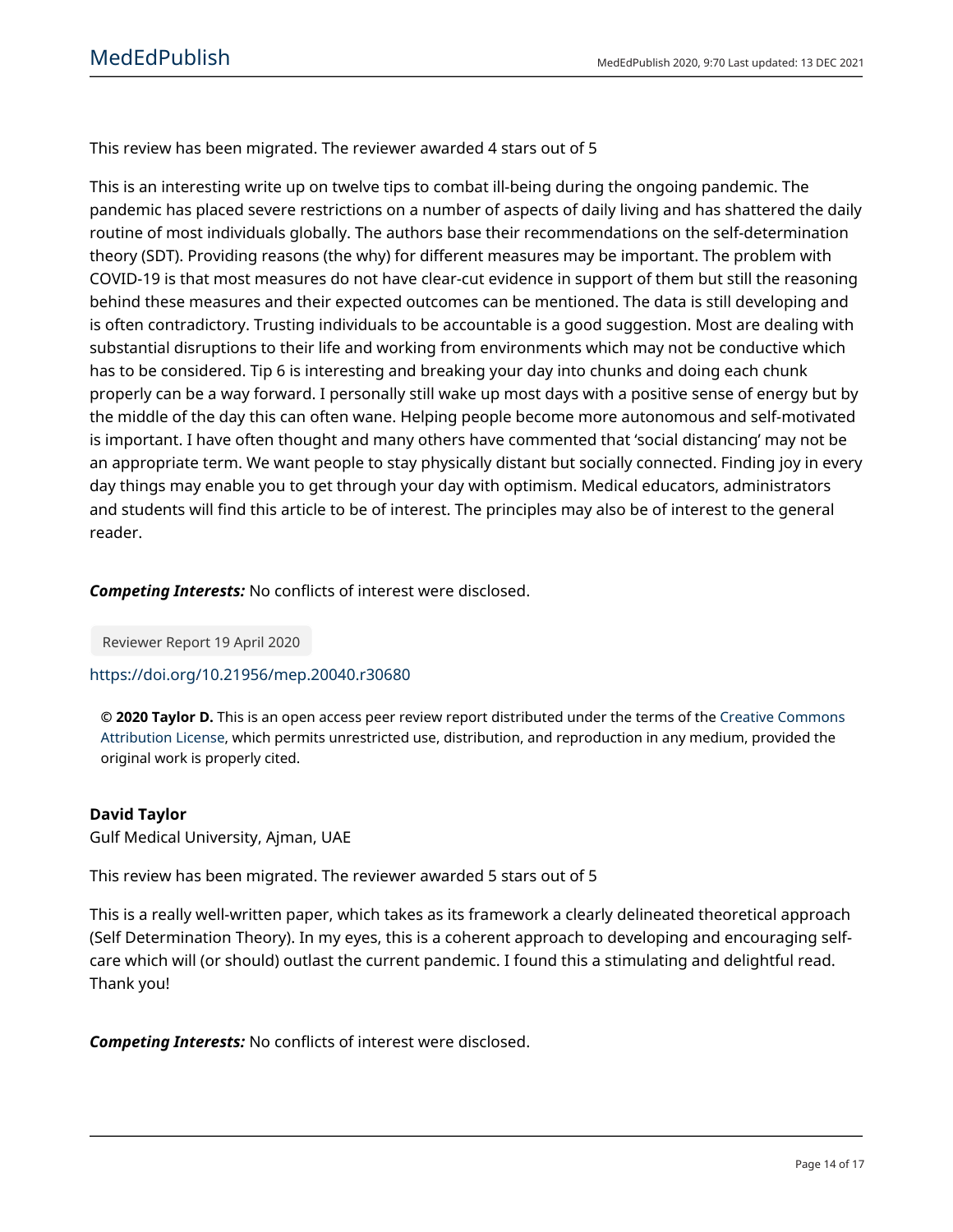This review has been migrated. The reviewer awarded 4 stars out of 5

This is an interesting write up on twelve tips to combat ill-being during the ongoing pandemic. The pandemic has placed severe restrictions on a number of aspects of daily living and has shattered the daily routine of most individuals globally. The authors base their recommendations on the self-determination theory (SDT). Providing reasons (the why) for different measures may be important. The problem with COVID-19 is that most measures do not have clear-cut evidence in support of them but still the reasoning behind these measures and their expected outcomes can be mentioned. The data is still developing and is often contradictory. Trusting individuals to be accountable is a good suggestion. Most are dealing with substantial disruptions to their life and working from environments which may not be conductive which has to be considered. Tip 6 is interesting and breaking your day into chunks and doing each chunk properly can be a way forward. I personally still wake up most days with a positive sense of energy but by the middle of the day this can often wane. Helping people become more autonomous and self-motivated is important. I have often thought and many others have commented that 'social distancing' may not be an appropriate term. We want people to stay physically distant but socially connected. Finding joy in every day things may enable you to get through your day with optimism. Medical educators, administrators and students will find this article to be of interest. The principles may also be of interest to the general reader.

## **Competing Interests:** No conflicts of interest were disclosed.

Reviewer Report 19 April 2020

## https://doi.org/10.21956/mep.20040.r30680

© 2020 Taylor D. This is an open access peer review report distributed under the terms of the Creative Commons Attribution License, which permits unrestricted use, distribution, and reproduction in any medium, provided the original work is properly cited.

## **David Taylor**

Gulf Medical University, Ajman, UAE

This review has been migrated. The reviewer awarded 5 stars out of 5

This is a really well-written paper, which takes as its framework a clearly delineated theoretical approach (Self Determination Theory). In my eyes, this is a coherent approach to developing and encouraging selfcare which will (or should) outlast the current pandemic. I found this a stimulating and delightful read. Thank you!

**Competing Interests:** No conflicts of interest were disclosed.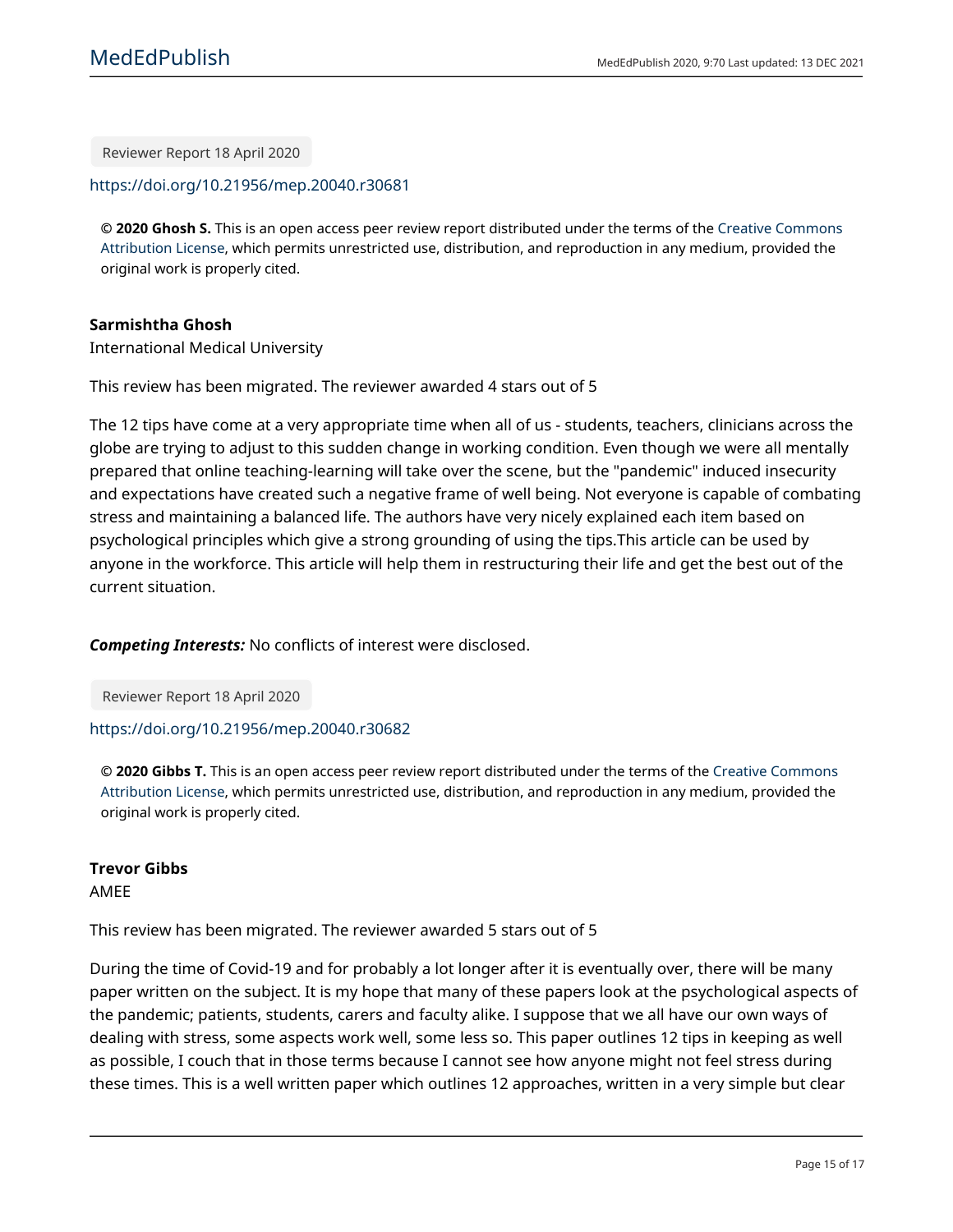Reviewer Report 18 April 2020

https://doi.org/10.21956/mep.20040.r30681

© 2020 Ghosh S. This is an open access peer review report distributed under the terms of the Creative Commons Attribution License, which permits unrestricted use, distribution, and reproduction in any medium, provided the original work is properly cited.

## Sarmishtha Ghosh

**International Medical University** 

This review has been migrated. The reviewer awarded 4 stars out of 5

The 12 tips have come at a very appropriate time when all of us - students, teachers, clinicians across the globe are trying to adjust to this sudden change in working condition. Even though we were all mentally prepared that online teaching-learning will take over the scene, but the "pandemic" induced insecurity and expectations have created such a negative frame of well being. Not everyone is capable of combating stress and maintaining a balanced life. The authors have very nicely explained each item based on psychological principles which give a strong grounding of using the tips. This article can be used by anyone in the workforce. This article will help them in restructuring their life and get the best out of the current situation.

**Competing Interests:** No conflicts of interest were disclosed.

Reviewer Report 18 April 2020

## https://doi.org/10.21956/mep.20040.r30682

© 2020 Gibbs T. This is an open access peer review report distributed under the terms of the Creative Commons Attribution License, which permits unrestricted use, distribution, and reproduction in any medium, provided the original work is properly cited.

## **Trevor Gibbs**

**AMEE** 

This review has been migrated. The reviewer awarded 5 stars out of 5

During the time of Covid-19 and for probably a lot longer after it is eventually over, there will be many paper written on the subject. It is my hope that many of these papers look at the psychological aspects of the pandemic; patients, students, carers and faculty alike. I suppose that we all have our own ways of dealing with stress, some aspects work well, some less so. This paper outlines 12 tips in keeping as well as possible, I couch that in those terms because I cannot see how anyone might not feel stress during these times. This is a well written paper which outlines 12 approaches, written in a very simple but clear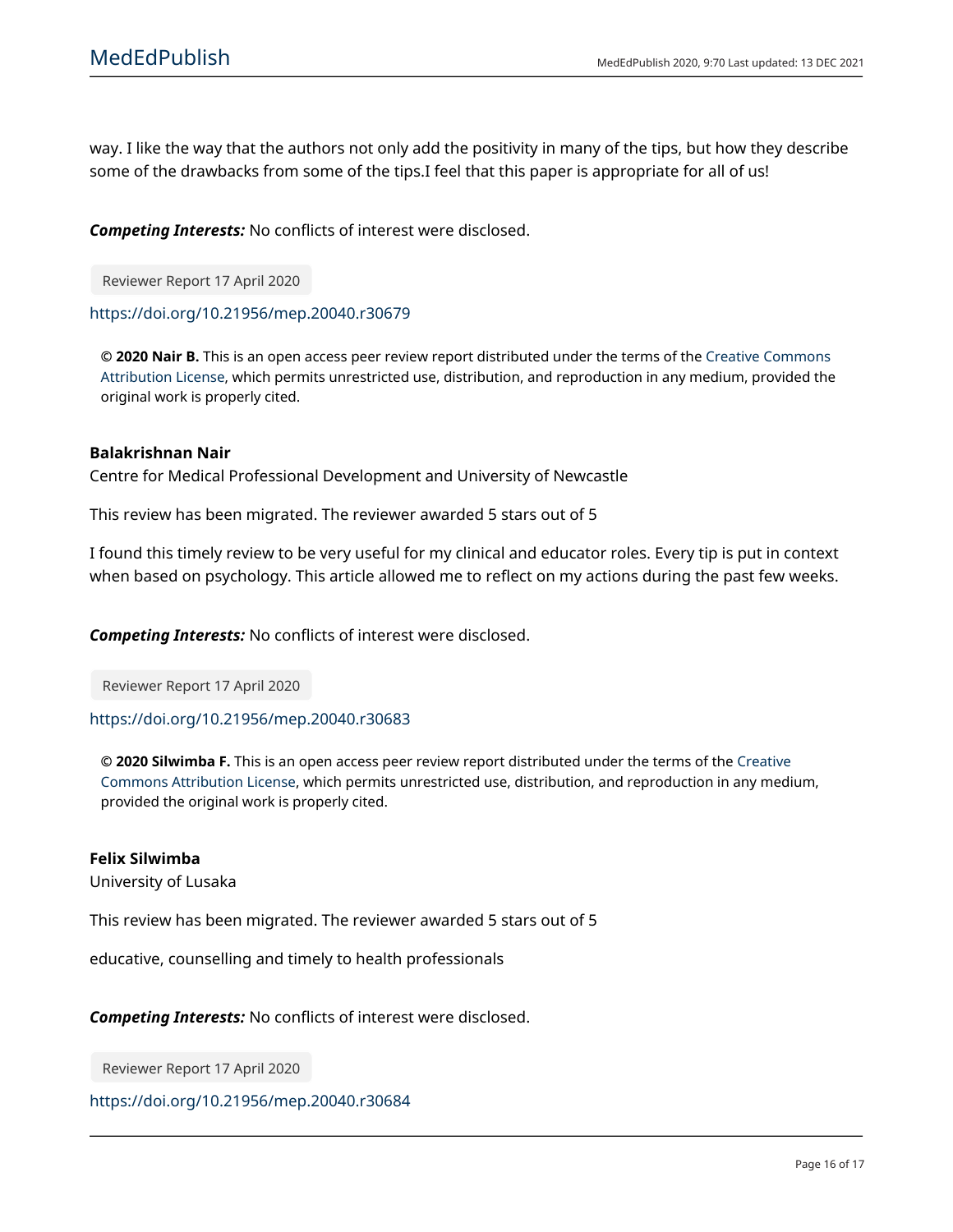way. I like the way that the authors not only add the positivity in many of the tips, but how they describe some of the drawbacks from some of the tips.I feel that this paper is appropriate for all of us!

**Competing Interests:** No conflicts of interest were disclosed.

Reviewer Report 17 April 2020

https://doi.org/10.21956/mep.20040.r30679

© 2020 Nair B. This is an open access peer review report distributed under the terms of the Creative Commons Attribution License, which permits unrestricted use, distribution, and reproduction in any medium, provided the original work is properly cited.

## **Balakrishnan Nair**

Centre for Medical Professional Development and University of Newcastle

This review has been migrated. The reviewer awarded 5 stars out of 5

I found this timely review to be very useful for my clinical and educator roles. Every tip is put in context when based on psychology. This article allowed me to reflect on my actions during the past few weeks.

**Competing Interests:** No conflicts of interest were disclosed.

Reviewer Report 17 April 2020

## https://doi.org/10.21956/mep.20040.r30683

© 2020 Silwimba F. This is an open access peer review report distributed under the terms of the Creative Commons Attribution License, which permits unrestricted use, distribution, and reproduction in any medium, provided the original work is properly cited.

## **Felix Silwimba**

University of Lusaka

This review has been migrated. The reviewer awarded 5 stars out of 5

educative, counselling and timely to health professionals

**Competing Interests:** No conflicts of interest were disclosed.

Reviewer Report 17 April 2020

https://doi.org/10.21956/mep.20040.r30684